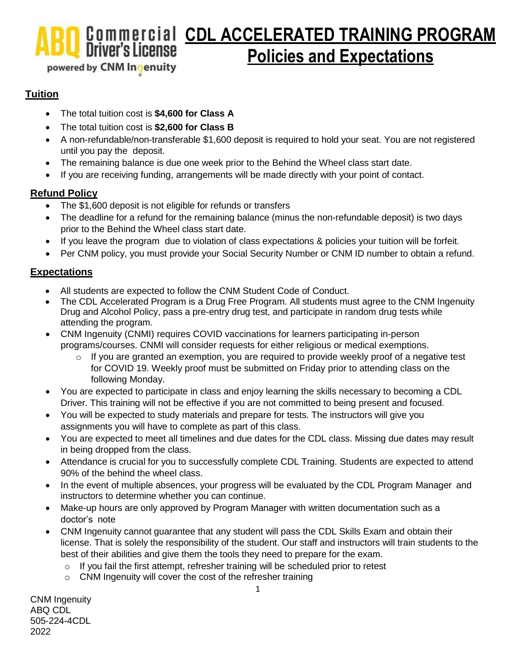**Commercial CDL ACCELERATED TRAINING PROGRAM**<br>Driver's License **Policies** and Expectations **Policies and Expectations**

## powered by CNM Inqenuity

### **Tuition**

- The total tuition cost is **\$4,600 for Class A**
- The total tuition cost is **\$2,600 for Class B**
- A non-refundable/non-transferable \$1,600 deposit is required to hold your seat. You are not registered until you pay the deposit.
- The remaining balance is due one week prior to the Behind the Wheel class start date.
- If you are receiving funding, arrangements will be made directly with your point of contact.

#### **Refund Policy**

- The \$1,600 deposit is not eligible for refunds or transfers
- The deadline for a refund for the remaining balance (minus the non-refundable deposit) is two days prior to the Behind the Wheel class start date.
- If you leave the program due to violation of class expectations & policies your tuition will be forfeit.
- Per CNM policy, you must provide your Social Security Number or CNM ID number to obtain a refund.

#### **Expectations**

- All students are expected to follow the CNM Student Code of Conduct.
- The CDL Accelerated Program is a Drug Free Program. All students must agree to the CNM Ingenuity Drug and Alcohol Policy, pass a pre-entry drug test, and participate in random drug tests while attending the program.
- CNM Ingenuity (CNMI) requires COVID vaccinations for learners participating in-person programs/courses. CNMI will consider requests for either religious or medical exemptions.
	- o If you are granted an exemption, you are required to provide weekly proof of a negative test for COVID 19. Weekly proof must be submitted on Friday prior to attending class on the following Monday.
- You are expected to participate in class and enjoy learning the skills necessary to becoming a CDL Driver. This training will not be effective if you are not committed to being present and focused.
- You will be expected to study materials and prepare for tests. The instructors will give you assignments you will have to complete as part of this class.
- You are expected to meet all timelines and due dates for the CDL class. Missing due dates may result in being dropped from the class.
- Attendance is crucial for you to successfully complete CDL Training. Students are expected to attend 90% of the behind the wheel class.
- In the event of multiple absences, your progress will be evaluated by the CDL Program Manager and instructors to determine whether you can continue.
- Make-up hours are only approved by Program Manager with written documentation such as a doctor's note
- CNM Ingenuity cannot guarantee that any student will pass the CDL Skills Exam and obtain their license. That is solely the responsibility of the student. Our staff and instructors will train students to the best of their abilities and give them the tools they need to prepare for the exam.
	- o If you fail the first attempt, refresher training will be scheduled prior to retest
	- o CNM Ingenuity will cover the cost of the refresher training

CNM Ingenuity ABQ CDL 505-224-4CDL 2022